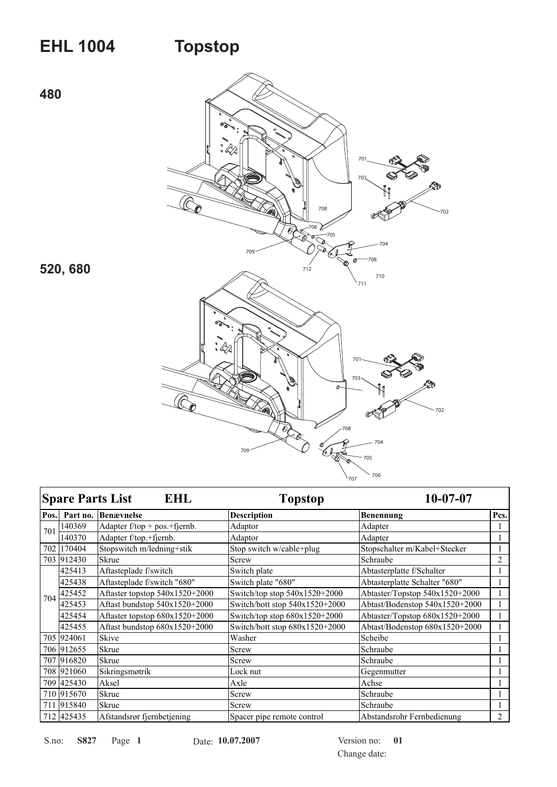## **EHL 1004**

## **Topstop**



|      | <b>Spare Parts List</b> | <b>EHL</b>                       | <b>Topstop</b>                   | $10-07-07$                     |                |
|------|-------------------------|----------------------------------|----------------------------------|--------------------------------|----------------|
| Pos. | Part no.                | <b>Benævnelse</b>                | <b>Description</b>               | <b>Benennung</b>               | Pcs.           |
| 701  | 140369                  | Adapter $f$ /top + pos.+fjernb.  | Adaptor                          | Adapter                        |                |
|      | 140370                  | Adapter f/top.+fjernb.           | Adaptor                          | Adapter                        |                |
| 702  | 170404                  | Stopswitch m/ledning+stik        | Stop switch w/cable+plug         | Stopschalter m/Kabel+Stecker   |                |
|      | 703 912430              | <b>Skrue</b>                     | Screw                            | Schraube                       | 2              |
| 704  | 425413                  | Aftasteplade f/switch            | Switch plate                     | Abtasterplatte f/Schalter      |                |
|      | 425438                  | Aftasteplade f/switch "680"      | Switch plate "680"               | Abtasterplatte Schalter "680"  |                |
|      | 425452                  | Aftaster topstop 540x1520+2000   | Switch/top stop 540x1520+2000    | Abtaster/Topstop 540x1520+2000 |                |
|      | 425453                  | Aftast bundstop $540x1520+2000$  | Switch/bott stop $540x1520+2000$ | Abtast/Bodenstop 540x1520+2000 |                |
|      | 425454                  | Aftaster topstop $680x1520+2000$ | Switch/top stop $680x1520+2000$  | Abtaster/Topstop 680x1520+2000 |                |
|      | 425455                  | Aftast bundstop 680x1520+2000    | Switch/bott stop 680x1520+2000   | Abtast/Bodenstop 680x1520+2000 |                |
|      | 705 924061              | Skive                            | Washer                           | Scheibe                        |                |
|      | 706 912655              | <b>Skrue</b>                     | Screw                            | Schraube                       |                |
|      | 707 916820              | <b>Skrue</b>                     | Screw                            | Schraube                       |                |
|      | 708 921060              | Sikringsmøtrik                   | Lock nut                         | Gegenmutter                    |                |
|      | 709 425430              | Aksel                            | Axle                             | Achse                          |                |
|      | 710 915670              | <b>Skrue</b>                     | Screw                            | Schraube                       |                |
|      | 711 915840              | <b>Skrue</b>                     | Screw                            | Schraube                       |                |
|      | 712 425435              | Afstandsrør fjernbetjening       | Spacer pipe remote control       | Abstandsrohr Fernbedienung     | $\overline{c}$ |

S827 S.no: Page 1 Date: 10.07.2007

Version no:  $01$ Change date: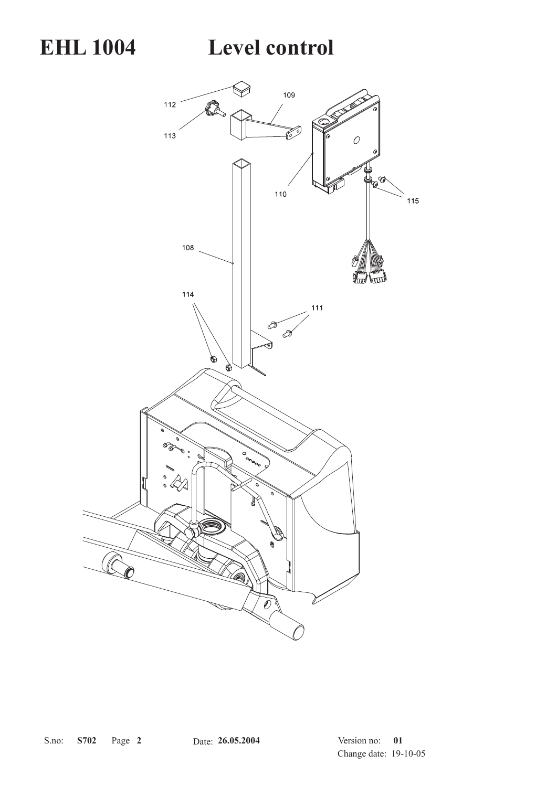**EHL 1004 Level control**